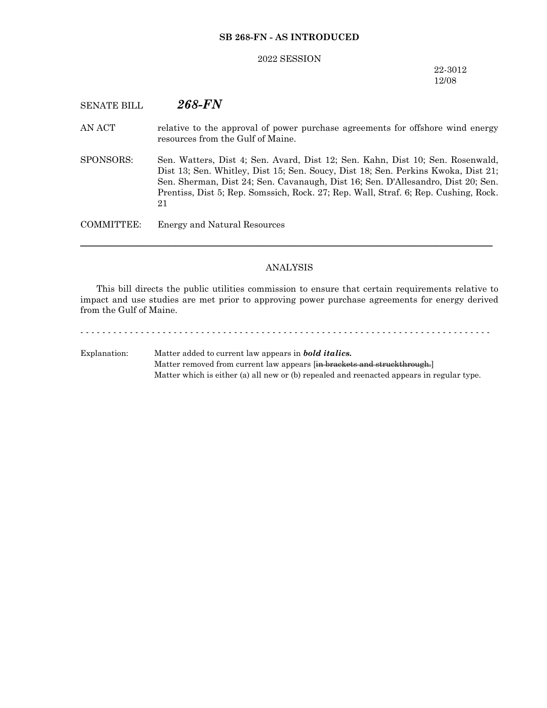#### **SB 268-FN - AS INTRODUCED**

#### 2022 SESSION

#### 22-3012 12/08

## SENATE BILL *268-FN*

- AN ACT relative to the approval of power purchase agreements for offshore wind energy resources from the Gulf of Maine.
- SPONSORS: Sen. Watters, Dist 4; Sen. Avard, Dist 12; Sen. Kahn, Dist 10; Sen. Rosenwald, Dist 13; Sen. Whitley, Dist 15; Sen. Soucy, Dist 18; Sen. Perkins Kwoka, Dist 21; Sen. Sherman, Dist 24; Sen. Cavanaugh, Dist 16; Sen. D'Allesandro, Dist 20; Sen. Prentiss, Dist 5; Rep. Somssich, Rock. 27; Rep. Wall, Straf. 6; Rep. Cushing, Rock. 21

COMMITTEE: Energy and Natural Resources

#### ANALYSIS

─────────────────────────────────────────────────────────────────

This bill directs the public utilities commission to ensure that certain requirements relative to impact and use studies are met prior to approving power purchase agreements for energy derived from the Gulf of Maine.

# Explanation: Matter added to current law appears in *bold italics.* Matter removed from current law appears [in brackets and struckthrough.] Matter which is either (a) all new or (b) repealed and reenacted appears in regular type.

- - - - - - - - - - - - - - - - - - - - - - - - - - - - - - - - - - - - - - - - - - - - - - - - - - - - - - - - - - - - - - - - - - - - - - - - - - -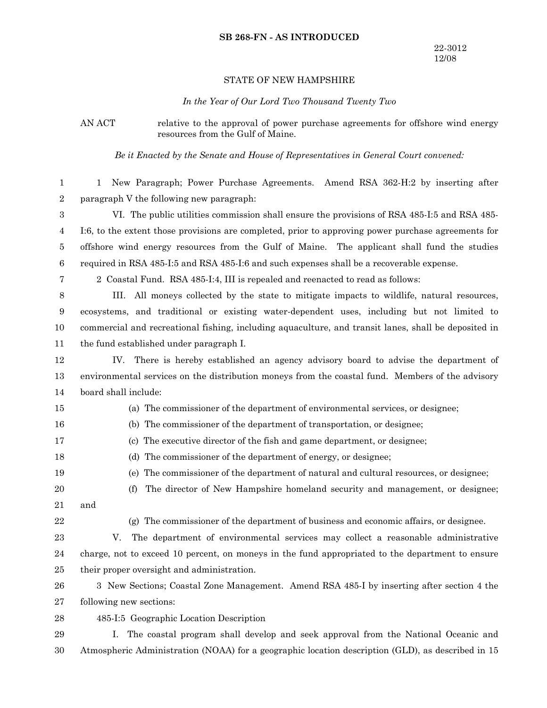#### **SB 268-FN - AS INTRODUCED**

#### STATE OF NEW HAMPSHIRE

*In the Year of Our Lord Two Thousand Twenty Two*

AN ACT relative to the approval of power purchase agreements for offshore wind energy resources from the Gulf of Maine.

*Be it Enacted by the Senate and House of Representatives in General Court convened:*

1 New Paragraph; Power Purchase Agreements. Amend RSA 362-H:2 by inserting after paragraph V the following new paragraph: VI. The public utilities commission shall ensure the provisions of RSA 485-I:5 and RSA 485- I:6, to the extent those provisions are completed, prior to approving power purchase agreements for offshore wind energy resources from the Gulf of Maine. The applicant shall fund the studies required in RSA 485-I:5 and RSA 485-I:6 and such expenses shall be a recoverable expense. 2 Coastal Fund. RSA 485-I:4, III is repealed and reenacted to read as follows: III. All moneys collected by the state to mitigate impacts to wildlife, natural resources, ecosystems, and traditional or existing water-dependent uses, including but not limited to commercial and recreational fishing, including aquaculture, and transit lanes, shall be deposited in the fund established under paragraph I. IV. There is hereby established an agency advisory board to advise the department of environmental services on the distribution moneys from the coastal fund. Members of the advisory board shall include: (a) The commissioner of the department of environmental services, or designee; (b) The commissioner of the department of transportation, or designee; 1 2 3 4 5 6 7 8 9 10 11 12 13 14 15 16

- (c) The executive director of the fish and game department, or designee;
- (d) The commissioner of the department of energy, or designee;
- 18 19

17

(e) The commissioner of the department of natural and cultural resources, or designee;

- (f) The director of New Hampshire homeland security and management, or designee; and 20 21
- 22
- (g) The commissioner of the department of business and economic affairs, or designee.

V. The department of environmental services may collect a reasonable administrative charge, not to exceed 10 percent, on moneys in the fund appropriated to the department to ensure their proper oversight and administration. 23 24 25

3 New Sections; Coastal Zone Management. Amend RSA 485-I by inserting after section 4 the following new sections: 26 27

485-I:5 Geographic Location Description 28

I. The coastal program shall develop and seek approval from the National Oceanic and Atmospheric Administration (NOAA) for a geographic location description (GLD), as described in 15 29 30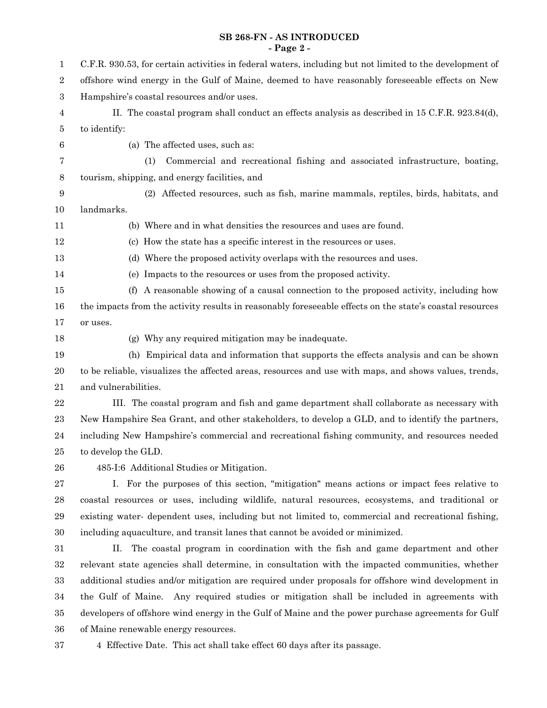#### **SB 268-FN - AS INTRODUCED - Page 2 -**

| 1                | C.F.R. 930.53, for certain activities in federal waters, including but not limited to the development of |  |  |  |  |
|------------------|----------------------------------------------------------------------------------------------------------|--|--|--|--|
| $\boldsymbol{2}$ | offshore wind energy in the Gulf of Maine, deemed to have reasonably foreseeable effects on New          |  |  |  |  |
| $\boldsymbol{3}$ | Hampshire's coastal resources and/or uses.                                                               |  |  |  |  |
| 4                | II. The coastal program shall conduct an effects analysis as described in 15 C.F.R. 923.84(d),           |  |  |  |  |
| 5                | to identify:                                                                                             |  |  |  |  |
| 6                | (a) The affected uses, such as:                                                                          |  |  |  |  |
| 7                | Commercial and recreational fishing and associated infrastructure, boating,<br>(1)                       |  |  |  |  |
| 8                | tourism, shipping, and energy facilities, and                                                            |  |  |  |  |
| 9                | (2) Affected resources, such as fish, marine mammals, reptiles, birds, habitats, and                     |  |  |  |  |
| 10               | landmarks.                                                                                               |  |  |  |  |
| 11               | (b) Where and in what densities the resources and uses are found.                                        |  |  |  |  |
| 12               | (c) How the state has a specific interest in the resources or uses.                                      |  |  |  |  |
| 13               | (d) Where the proposed activity overlaps with the resources and uses.                                    |  |  |  |  |
| 14               | (e) Impacts to the resources or uses from the proposed activity.                                         |  |  |  |  |
| 15               | A reasonable showing of a causal connection to the proposed activity, including how<br>(f)               |  |  |  |  |
| 16               | the impacts from the activity results in reasonably foreseeable effects on the state's coastal resources |  |  |  |  |
| 17               | or uses.                                                                                                 |  |  |  |  |
| 18               | (g) Why any required mitigation may be inadequate.                                                       |  |  |  |  |
| 19               | (h) Empirical data and information that supports the effects analysis and can be shown                   |  |  |  |  |
| 20               | to be reliable, visualizes the affected areas, resources and use with maps, and shows values, trends,    |  |  |  |  |
| 21               | and vulnerabilities.                                                                                     |  |  |  |  |
| $\bf{22}$        | III. The coastal program and fish and game department shall collaborate as necessary with                |  |  |  |  |
| 23               | New Hampshire Sea Grant, and other stakeholders, to develop a GLD, and to identify the partners,         |  |  |  |  |
| 24               | including New Hampshire's commercial and recreational fishing community, and resources needed            |  |  |  |  |
| 25               | to develop the GLD.                                                                                      |  |  |  |  |
| 26               | 485-I:6 Additional Studies or Mitigation.                                                                |  |  |  |  |
| 27               | I. For the purposes of this section, "mitigation" means actions or impact fees relative to               |  |  |  |  |
| $\bf 28$         | coastal resources or uses, including wildlife, natural resources, ecosystems, and traditional or         |  |  |  |  |
| 29               | existing water- dependent uses, including but not limited to, commercial and recreational fishing,       |  |  |  |  |
| $30\,$           | including aquaculture, and transit lanes that cannot be avoided or minimized.                            |  |  |  |  |
| 31               | The coastal program in coordination with the fish and game department and other<br>П.                    |  |  |  |  |
| $32\,$           | relevant state agencies shall determine, in consultation with the impacted communities, whether          |  |  |  |  |
| 33               | additional studies and/or mitigation are required under proposals for offshore wind development in       |  |  |  |  |
| 34               | the Gulf of Maine. Any required studies or mitigation shall be included in agreements with               |  |  |  |  |
| $35\,$           | developers of offshore wind energy in the Gulf of Maine and the power purchase agreements for Gulf       |  |  |  |  |
| 36               | of Maine renewable energy resources.                                                                     |  |  |  |  |

$$
^{37}
$$

4 Effective Date. This act shall take effect 60 days after its passage.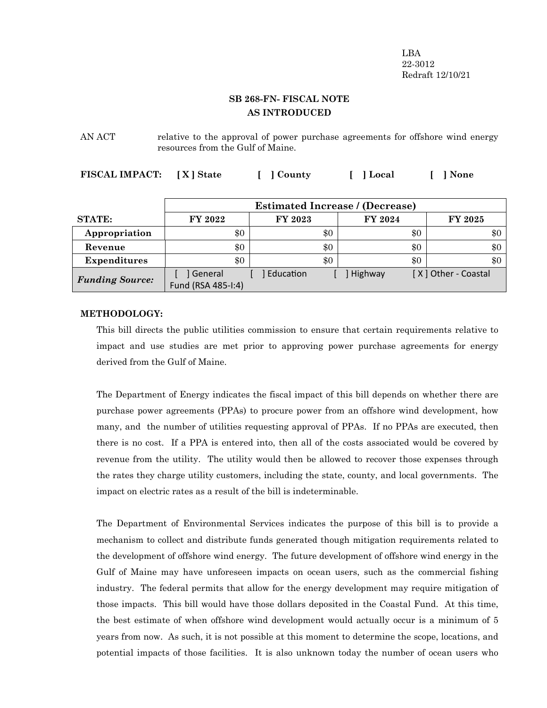LBA 22-3012 Redraft 12/10/21

# **SB 268-FN- FISCAL NOTE AS INTRODUCED**

AN ACT relative to the approval of power purchase agreements for offshore wind energy resources from the Gulf of Maine.

**FISCAL IMPACT: [ X ] State [ ] County [ ] Local [ ] None**

|                        | <b>Estimated Increase / (Decrease)</b> |           |         |                     |
|------------------------|----------------------------------------|-----------|---------|---------------------|
| <b>STATE:</b>          | FY 2022                                | FY 2023   | FY 2024 | <b>FY 2025</b>      |
| Appropriation          | \$0                                    | \$0       | $\$0$   | \$0                 |
| Revenue                | \$0                                    | \$0       | \$0     | \$0                 |
| <b>Expenditures</b>    | \$0                                    | \$0       | \$0     | \$0                 |
| <b>Funding Source:</b> | General<br>Fund (RSA 485-1:4)          | Education | Highway | [X] Other - Coastal |

#### **METHODOLOGY:**

This bill directs the public utilities commission to ensure that certain requirements relative to impact and use studies are met prior to approving power purchase agreements for energy derived from the Gulf of Maine.

The Department of Energy indicates the fiscal impact of this bill depends on whether there are purchase power agreements (PPAs) to procure power from an offshore wind development, how many, and the number of utilities requesting approval of PPAs. If no PPAs are executed, then there is no cost. If a PPA is entered into, then all of the costs associated would be covered by revenue from the utility. The utility would then be allowed to recover those expenses through the rates they charge utility customers, including the state, county, and local governments. The impact on electric rates as a result of the bill is indeterminable.

The Department of Environmental Services indicates the purpose of this bill is to provide a mechanism to collect and distribute funds generated though mitigation requirements related to the development of offshore wind energy. The future development of offshore wind energy in the Gulf of Maine may have unforeseen impacts on ocean users, such as the commercial fishing industry. The federal permits that allow for the energy development may require mitigation of those impacts. This bill would have those dollars deposited in the Coastal Fund. At this time, the best estimate of when offshore wind development would actually occur is a minimum of 5 years from now. As such, it is not possible at this moment to determine the scope, locations, and potential impacts of those facilities. It is also unknown today the number of ocean users who